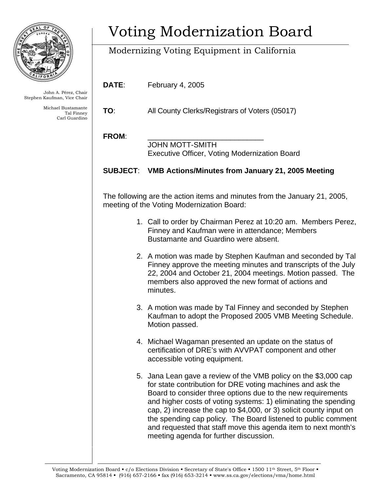

John A. Pérez, Chair Stephen Kaufman, Vice Chair

> Michael Bustamante Tal Finney Carl Guardino

# Voting Modernization Board

## Modernizing Voting Equipment in California

**DATE**: February 4, 2005

**TO**: All County Clerks/Registrars of Voters (05017)

#### FROM:

 JOHN MOTT-SMITH Executive Officer, Voting Modernization Board

### **SUBJECT**: **VMB Actions/Minutes from January 21, 2005 Meeting**

The following are the action items and minutes from the January 21, 2005, meeting of the Voting Modernization Board:

- 1. Call to order by Chairman Perez at 10:20 am. Members Perez, Finney and Kaufman were in attendance; Members Bustamante and Guardino were absent.
- 2. A motion was made by Stephen Kaufman and seconded by Tal Finney approve the meeting minutes and transcripts of the July 22, 2004 and October 21, 2004 meetings. Motion passed. The members also approved the new format of actions and minutes.
- 3. A motion was made by Tal Finney and seconded by Stephen Kaufman to adopt the Proposed 2005 VMB Meeting Schedule. Motion passed.
- 4. Michael Wagaman presented an update on the status of certification of DRE's with AVVPAT component and other accessible voting equipment.
- 5. Jana Lean gave a review of the VMB policy on the \$3,000 cap for state contribution for DRE voting machines and ask the Board to consider three options due to the new requirements and higher costs of voting systems: 1) eliminating the spending cap, 2) increase the cap to \$4,000, or 3) solicit county input on the spending cap policy. The Board listened to public comment and requested that staff move this agenda item to next month's meeting agenda for further discussion.